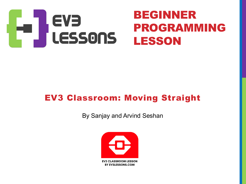

#### EV3 Classroom: Moving Straight

By Sanjay and Arvind Seshan

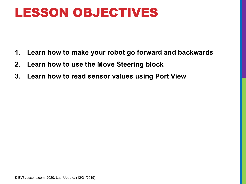#### LESSON OBJECTIVES

- **1. Learn how to make your robot go forward and backwards**
- **2. Learn how to use the Move Steering block**
- **3. Learn how to read sensor values using Port View**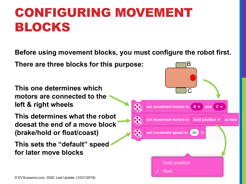# CONFIGURING MOVEMENT BLOCKS

**Before using movement blocks, you must configure the robot first.** 

**There are three blocks for this purpose:** 

**This one determines which motors are connected to the left & right wheels**

**This determines what the robot doesat the end of a move block (brake/hold or float/coast)**

**This sets the "default" speed for later move blocks**

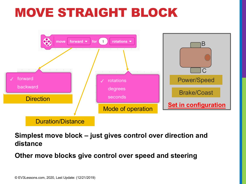# MOVE STRAIGHT BLOCK



**Simplest move block – just gives control over direction and distance**

**Other move blocks give control over speed and steering**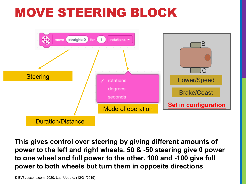### MOVE STEERING BLOCK



**This gives control over steering by giving different amounts of power to the left and right wheels. 50 & -50 steering give 0 power to one wheel and full power to the other. 100 and -100 give full power to both wheels but turn them in opposite directions**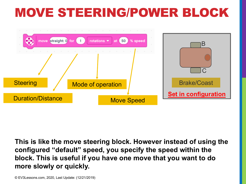# MOVE STEERING/POWER BLOCK



**This is like the move steering block. However instead of using the configured "default" speed, you specify the speed within the block. This is useful if you have one move that you want to do more slowly or quickly.**

© EV3Lessons.com, 2020, Last Update: (12/21/2019)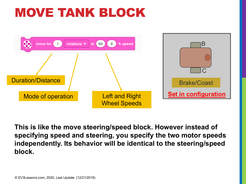# MOVE TANK BLOCK



**This is like the move steering/speed block. However instead of specifying speed and steering, you specify the two motor speeds independently. Its behavior will be identical to the steering/speed block.**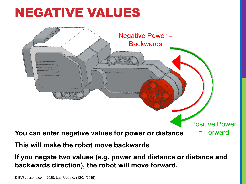# NEGATIVE VALUES



**This will make the robot move backwards**

**If you negate two values (e.g. power and distance or distance and backwards direction), the robot will move forward.**

© EV3Lessons.com, 2020, Last Update: (12/21/2019)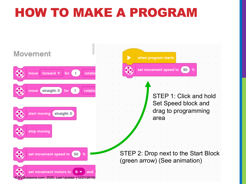# HOW TO MAKE A PROGRAM

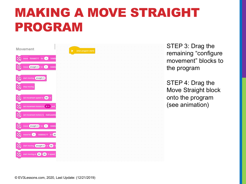# MAKING A MOVE STRAIGHT PROGRAM



STEP 3: Drag the remaining "configure movement" blocks to the program

STEP 4: Drag the Move Straight block onto the program (see animation)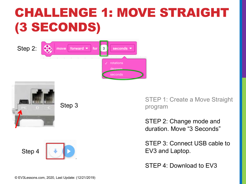# CHALLENGE 1: MOVE STRAIGHT (3 SECONDS)







Step 4



STEP 1: Create a Move Straight program

STEP 2: Change mode and duration. Move "3 Seconds"

STEP 3: Connect USB cable to EV3 and Laptop.

STEP 4: Download to EV3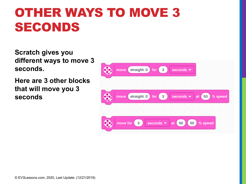# OTHER WAYS TO MOVE 3 SECONDS

**Scratch gives you different ways to move 3 seconds.** 

**Here are 3 other blocks that will move you 3 seconds** 

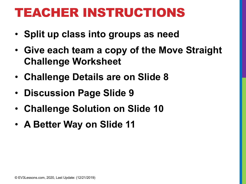### TEACHER INSTRUCTIONS

- **Split up class into groups as need**
- **Give each team a copy of the Move Straight Challenge Worksheet**
- **Challenge Details are on Slide 8**
- **Discussion Page Slide 9**
- **Challenge Solution on Slide 10**
- **A Better Way on Slide 11**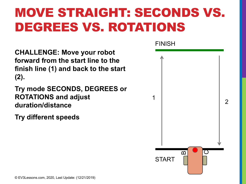# MOVE STRAIGHT: SECONDS VS. DEGREES VS. ROTATIONS

**CHALLENGE: Move your robot forward from the start line to the finish line (1) and back to the start (2).**

**Try mode SECONDS, DEGREES or ROTATIONS and adjust duration/distance**

**Try different speeds**

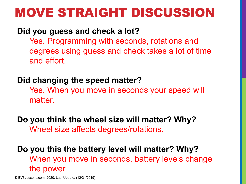#### MOVE STRAIGHT DISCUSSION

#### **Did you guess and check a lot?**

Yes. Programming with seconds, rotations and degrees using guess and check takes a lot of time and effort.

#### **Did changing the speed matter?**

Yes. When you move in seconds your speed will matter.

**Do you think the wheel size will matter? Why?** Wheel size affects degrees/rotations.

**Do you this the battery level will matter? Why?** When you move in seconds, battery levels change the power.

© EV3Lessons.com, 2020, Last Update: (12/21/2019)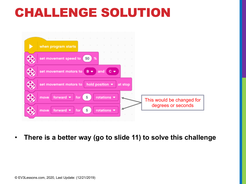### CHALLENGE SOLUTION



• **There is a better way (go to slide 11) to solve this challenge**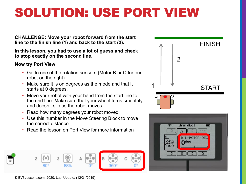# SOLUTION: USE PORT VIEW

**CHALLENGE: Move your robot forward from the start line to the finish line (1) and back to the start (2).**

**In this lesson, you had to use a lot of guess and check to stop exactly on the second line.**

#### **Now try Port View:**

- Go to one of the rotation sensors (Motor B or C for our robot on the right)
- Make sure it is on degrees as the mode and that it starts at 0 degrees.
- Move your robot with your hand from the start line to the end line. Make sure that your wheel turns smoothly and doesn't slip as the robot moves.
- Read how many degrees your robot moved
- Use this number in the Move Steering Block to move the correct distance.
- Read the lesson on Port View for more information





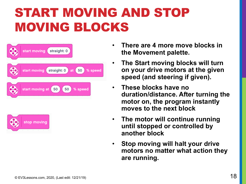# START MOVING AND STOP MOVING BLOCKS





- **There are 4 more move blocks in the Movement palette.**
- **The Start moving blocks will turn on your drive motors at the given speed (and steering if given).**
- **These blocks have no duration/distance. After turning the motor on, the program instantly moves to the next block**
- **The motor will continue running until stopped or controlled by another block**
- **Stop moving will halt your drive motors no matter what action they are running.**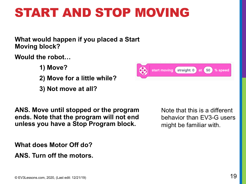# START AND STOP MOVING

**What would happen if you placed a Start Moving block?**

**Would the robot…**

- **1) Move?**
- **2) Move for a little while?**
- **3) Not move at all?**

**ANS. Move until stopped or the program ends. Note that the program will not end unless you have a Stop Program block.**

**What does Motor Off do?**

**ANS. Turn off the motors.**



Note that this is a different behavior than EV3-G users might be familiar with.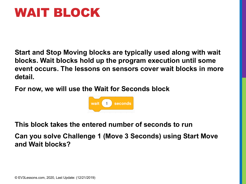#### WAIT BLOCK

**Start and Stop Moving blocks are typically used along with wait blocks. Wait blocks hold up the program execution until some event occurs. The lessons on sensors cover wait blocks in more detail.**

**For now, we will use the Wait for Seconds block**



**This block takes the entered number of seconds to run**

**Can you solve Challenge 1 (Move 3 Seconds) using Start Move and Wait blocks?**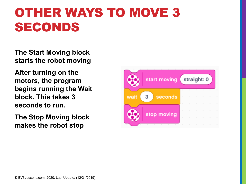# OTHER WAYS TO MOVE 3 SECONDS

**The Start Moving block starts the robot moving**

**After turning on the motors, the program begins running the Wait block. This takes 3 seconds to run.**

**The Stop Moving block makes the robot stop**